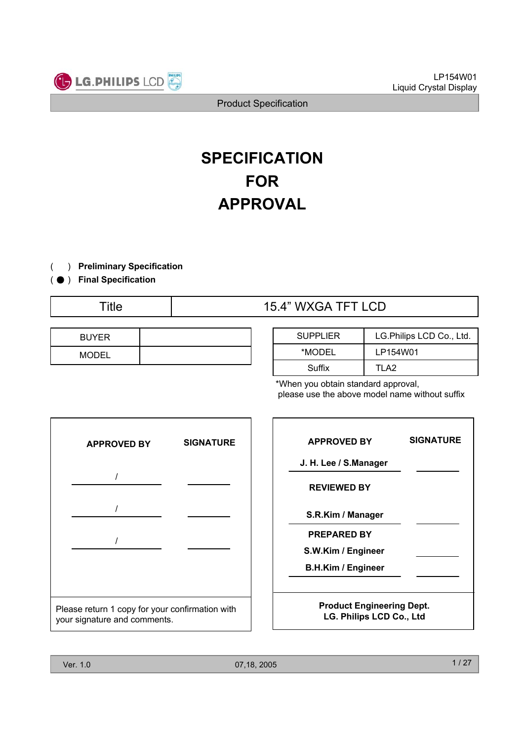

# **SPECIFICATION FOR APPROVAL**

- ) **Preliminary Specification** (
- ) ( ̻ **Final Specification**
	-

# Title  $\qquad \qquad$  15.4" WXGA TFT LCD

| <b>BUYER</b> |  |
|--------------|--|
| <b>MODEL</b> |  |

| <b>SUPPLIER</b> | LG.Philips LCD Co., Ltd. |  |
|-----------------|--------------------------|--|
| *MODEL          | LP154W01                 |  |
| Suffix          | TI A2                    |  |

\*When you obtain standard approval, please use the above model name without suffix

|                                                                                 | <b>APPROVED BY</b> | <b>SIGNATURE</b> |  |
|---------------------------------------------------------------------------------|--------------------|------------------|--|
|                                                                                 |                    |                  |  |
|                                                                                 |                    |                  |  |
|                                                                                 |                    |                  |  |
|                                                                                 |                    |                  |  |
|                                                                                 |                    |                  |  |
| Please return 1 copy for your confirmation with<br>your signature and comments. |                    |                  |  |

| <b>APPROVED BY</b>                                              | <b>SIGNATURE</b> | <b>APPROVED BY</b>                                           | <b>SIGNATURE</b> |
|-----------------------------------------------------------------|------------------|--------------------------------------------------------------|------------------|
|                                                                 |                  | J. H. Lee / S.Manager                                        |                  |
|                                                                 |                  | <b>REVIEWED BY</b>                                           |                  |
|                                                                 |                  | S.R.Kim / Manager                                            |                  |
|                                                                 |                  | <b>PREPARED BY</b>                                           |                  |
|                                                                 |                  | S.W.Kim / Engineer                                           |                  |
|                                                                 |                  | <b>B.H.Kim / Engineer</b>                                    |                  |
| return 1 copy for your confirmation with<br>nature and comments |                  | <b>Product Engineering Dept.</b><br>LG. Philips LCD Co., Ltd |                  |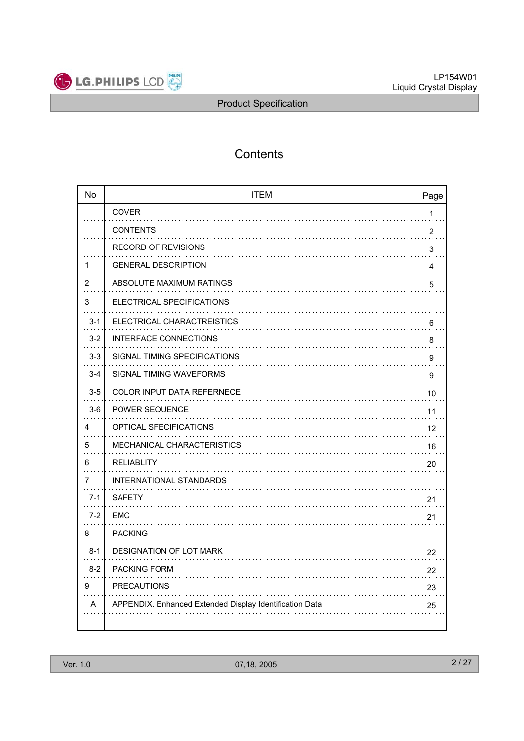

# **Contents**

| <b>No</b> | <b>ITEM</b><br>Page                                     |                |
|-----------|---------------------------------------------------------|----------------|
|           | COVER                                                   | $\mathbf{1}$   |
|           | <b>CONTENTS</b>                                         | $\overline{2}$ |
|           | <b>RECORD OF REVISIONS</b>                              | 3              |
| 1         | <b>GENERAL DESCRIPTION</b>                              | 4              |
| 2         | ABSOLUTE MAXIMUM RATINGS                                | 5              |
| 3         | ELECTRICAL SPECIFICATIONS                               |                |
| $3 - 1$   | ELECTRICAL CHARACTREISTICS                              | 6              |
| $3 - 2$   | <b>INTERFACE CONNECTIONS</b>                            | 8              |
| $3 - 3$   | SIGNAL TIMING SPECIFICATIONS                            | 9              |
| $3 - 4$   | SIGNAL TIMING WAVEFORMS                                 | 9              |
| $3-5$     | <b>COLOR INPUT DATA REFERNECE</b>                       | 10             |
| $3-6$     | <b>POWER SEQUENCE</b>                                   | 11             |
| 4         | OPTICAL SFECIFICATIONS                                  | 12             |
| 5         | MECHANICAL CHARACTERISTICS                              | 16             |
| 6         | <b>RELIABLITY</b>                                       | 20             |
| 7         | INTERNATIONAL STANDARDS                                 |                |
| $7-1$     | <b>SAFETY</b>                                           | 21             |
| $7-2$     | EMC                                                     | 21             |
| 8         | <b>PACKING</b>                                          |                |
| $8 - 1$   | <b>DESIGNATION OF LOT MARK</b>                          | 22             |
| $8-2$     | <b>PACKING FORM</b>                                     | 22             |
| 9         | <b>PRECAUTIONS</b>                                      | 23             |
| A         | APPENDIX. Enhanced Extended Display Identification Data | 25             |
|           |                                                         |                |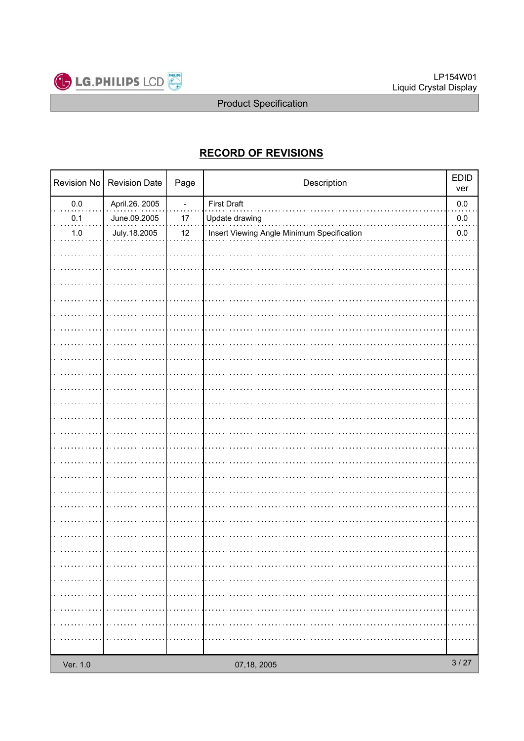

# **RECORD OF REVISIONS**

|          | Revision No   Revision Date | Page           | Description                                | <b>EDID</b><br>ver |
|----------|-----------------------------|----------------|--------------------------------------------|--------------------|
| $0.0\,$  | April.26. 2005              | $\blacksquare$ | <b>First Draft</b>                         | $0.0\,$            |
| 0.1      | June.09.2005                | 17             | Update drawing                             | $0.0\,$            |
| $1.0\,$  | July.18.2005                | 12             | Insert Viewing Angle Minimum Specification | $0.0\,$            |
|          |                             |                |                                            |                    |
|          |                             |                |                                            |                    |
|          |                             |                |                                            |                    |
|          |                             |                |                                            |                    |
|          |                             |                |                                            |                    |
|          |                             |                |                                            |                    |
|          |                             |                |                                            |                    |
|          |                             |                |                                            |                    |
|          |                             |                |                                            |                    |
|          |                             |                |                                            |                    |
|          |                             |                |                                            |                    |
|          |                             |                |                                            |                    |
|          |                             |                |                                            |                    |
|          |                             |                |                                            |                    |
|          |                             |                |                                            |                    |
|          |                             |                |                                            |                    |
|          |                             |                |                                            |                    |
|          |                             |                |                                            |                    |
|          |                             |                |                                            |                    |
|          |                             |                |                                            |                    |
|          |                             |                |                                            |                    |
|          |                             |                |                                            |                    |
|          |                             |                |                                            |                    |
|          |                             |                |                                            |                    |
|          |                             |                |                                            |                    |
|          |                             |                |                                            |                    |
|          |                             |                |                                            |                    |
|          |                             |                |                                            |                    |
| Ver. 1.0 |                             |                | 07,18, 2005                                | $3/27$             |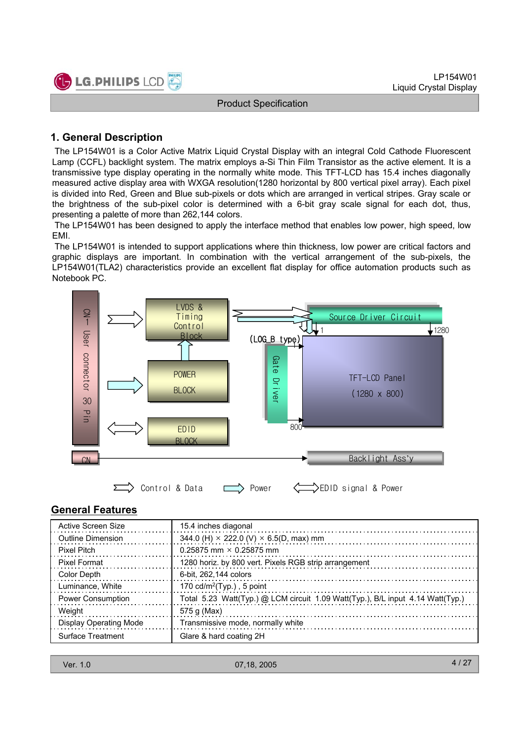

#### **1. General Description**

The LP154W01 is a Color Active Matrix Liquid Crystal Display with an integral Cold Cathode Fluorescent Lamp (CCFL) backlight system. The matrix employs a-Si Thin Film Transistor as the active element. It is a transmissive type display operating in the normally white mode. This TFT-LCD has 15.4 inches diagonally measured active display area with WXGA resolution(1280 horizontal by 800 vertical pixel array). Each pixel is divided into Red, Green and Blue sub-pixels or dots which are arranged in vertical stripes. Gray scale or the brightness of the sub-pixel color is determined with a 6-bit gray scale signal for each dot, thus, presenting a palette of more than 262,144 colors.

The LP154W01 has been designed to apply the interface method that enables low power, high speed, low EMI.

The LP154W01 is intended to support applications where thin thickness, low power are critical factors and graphic displays are important. In combination with the vertical arrangement of the sub-pixels, the LP154W01(TLA2) characteristics provide an excellent flat display for office automation products such as Notebook PC.



#### **General Features**

| Active Screen Size            | 15.4 inches diagonal                                                           |
|-------------------------------|--------------------------------------------------------------------------------|
| Outline Dimension             | 344.0 (H) $\times$ 222.0 (V) $\times$ 6.5(D, max) mm                           |
| Pixel Pitch                   | 0.25875 mm $\times$ 0.25875 mm                                                 |
| <b>Pixel Format</b>           | 1280 horiz. by 800 vert. Pixels RGB strip arrangement                          |
| Color Depth                   | 6-bit. 262.144 colors                                                          |
| Luminance, White              | 170 $cd/m^2$ (Typ.), 5 point                                                   |
| <b>Power Consumption</b>      | Total 5.23 Watt(Typ.) @ LCM circuit 1.09 Watt(Typ.), B/L input 4.14 Watt(Typ.) |
| Weight                        | 575 g (Max)                                                                    |
| <b>Display Operating Mode</b> | Transmissive mode, normally white                                              |
| Surface Treatment             | Glare & hard coating 2H                                                        |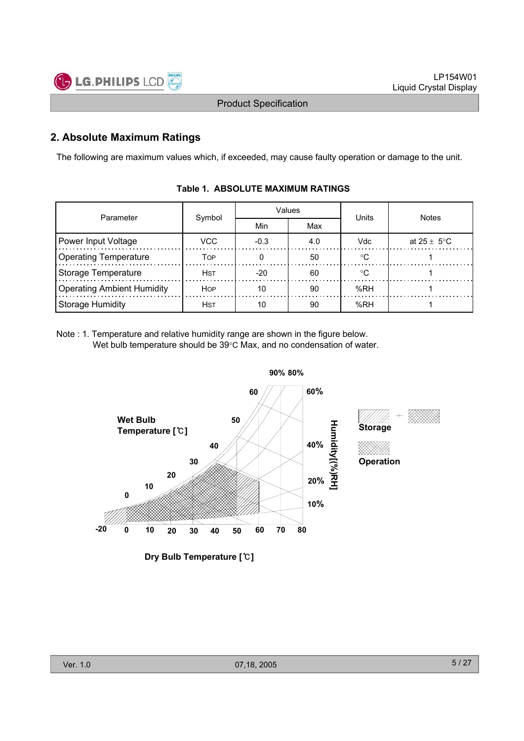

#### **2. Absolute Maximum Ratings**

The following are maximum values which, if exceeded, may cause faulty operation or damage to the unit.

| Parameter                         |             |        | Values | Units  | <b>Notes</b>            |  |
|-----------------------------------|-------------|--------|--------|--------|-------------------------|--|
|                                   | Symbol      | Min    | Max    |        |                         |  |
| Power Input Voltage               | VCC         | $-0.3$ | 4.0    | Vdc    | at $25 \pm 5^{\circ}$ C |  |
| <b>Operating Temperature</b>      | TOP         |        | 50     | $\sim$ |                         |  |
| <b>Storage Temperature</b>        | <b>H</b> st | $-20$  | 60     | ∘∩     |                         |  |
| <b>Operating Ambient Humidity</b> | <b>HOP</b>  | 10     | 90     | %RH    |                         |  |
| <b>Storage Humidity</b>           | <b>H</b> st | 10     | 90     | %RH    |                         |  |

#### **Table 1. ABSOLUTE MAXIMUM RATINGS**

Note : 1. Temperature and relative humidity range are shown in the figure below. Wet bulb temperature should be  $39^{\circ}$ C Max, and no condensation of water.



**Dry Bulb Temperature []**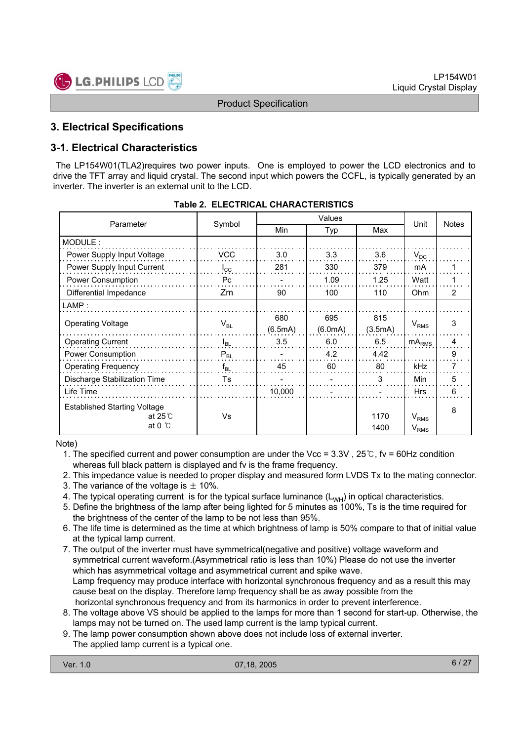

#### **3. Electrical Specifications**

#### **3-1. Electrical Characteristics**

The LP154W01(TLA2)requires two power inputs. One is employed to power the LCD electronics and to drive the TFT array and liquid crystal. The second input which powers the CCFL, is typically generated by an inverter. The inverter is an external unit to the LCD.

|                                                                              |              | Values  |         |              |                        |              |
|------------------------------------------------------------------------------|--------------|---------|---------|--------------|------------------------|--------------|
| Parameter                                                                    | Symbol       | Min     | Typ     | Max          | Unit                   | <b>Notes</b> |
| MODULE:                                                                      |              |         |         |              |                        |              |
| Power Supply Input Voltage                                                   | <b>VCC</b>   | 3.0     | 3.3     | 3.6          | $V_{DC}$               |              |
| Power Supply Input Current                                                   | $I_{\rm CC}$ | 281     | 330     | 379          | mA                     |              |
| Power Consumption                                                            | Pc           |         | 1.09    | 1.25         | Watt                   |              |
| Differential Impedance                                                       | Zm           | 90      | 100     | 110          | Ohm                    | 2            |
| LAMP:                                                                        |              |         |         |              |                        |              |
| <b>Operating Voltage</b>                                                     |              | 680     | 695     | 815          |                        | 3            |
|                                                                              | $V_{BL}$     | (6.5mA) | (6.0mA) | (3.5mA)      | V <sub>RMS</sub>       |              |
| <b>Operating Current</b>                                                     | $I_{BL}$     | 3.5     | 6.0     | 6.5          | mA <sub>RMS</sub>      | 4            |
| Power Consumption                                                            | $P_{BL}$     |         | 4.2     | 4.42         |                        | 9            |
| <b>Operating Frequency</b>                                                   | $f_{BL}$     | 45      | 60      | 80           | kHz                    | 7            |
| Discharge Stabilization Time                                                 | Ts           |         |         | 3            | <b>Min</b>             | 5            |
| Life Time                                                                    |              | 10,000  |         |              | <b>Hrs</b>             | 6            |
| <b>Established Starting Voltage</b><br>at 25 $\degree$ C<br>at 0 $\degree$ C | Vs           |         |         | 1170<br>1400 | $V_{RMS}$<br>$V_{RMS}$ | 8            |

|  | Table 2. ELECTRICAL CHARACTERISTICS |
|--|-------------------------------------|
|  |                                     |

Note)

1. The specified current and power consumption are under the Vcc =  $3.3V$ ,  $25°C$ , fv = 60Hz condition whereas full black pattern is displayed and fv is the frame frequency.

2. This impedance value is needed to proper display and measured form LVDS Tx to the mating connector.

- 3. The variance of the voltage is  $\pm$  10%.
- 4. The typical operating current is for the typical surface luminance  $(L_{WH})$  in optical characteristics.
- 5. Define the brightness of the lamp after being lighted for 5 minutes as 100%, Ts is the time required for the brightness of the center of the lamp to be not less than 95%.
- 6. The life time is determined as the time at which brightness of lamp is 50% compare to that of initial value at the typical lamp current.
- 7. The output of the inverter must have symmetrical(negative and positive) voltage waveform and symmetrical current waveform.(Asymmetrical ratio is less than 10%) Please do not use the inverter which has asymmetrical voltage and asymmetrical current and spike wave. Lamp frequency may produce interface with horizontal synchronous frequency and as a result this may cause beat on the display. Therefore lamp frequency shall be as away possible from the horizontal synchronous frequency and from its harmonics in order to prevent interference.
- 8. The voltage above VS should be applied to the lamps for more than 1 second for start-up. Otherwise, the lamps may not be turned on. The used lamp current is the lamp typical current.
- 9. The lamp power consumption shown above does not include loss of external inverter. The applied lamp current is a typical one.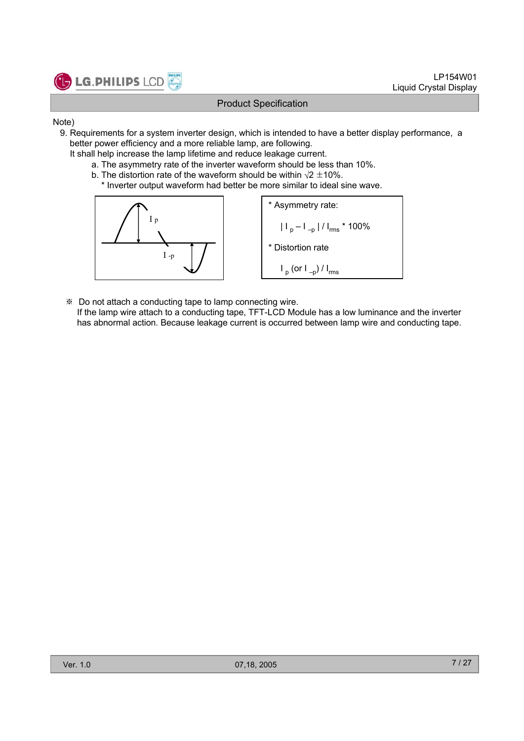

- Note)
	- 9. Requirements for a system inverter design, which is intended to have a better display performance, a better power efficiency and a more reliable lamp, are following.
		- It shall help increase the lamp lifetime and reduce leakage current.
			- a. The asymmetry rate of the inverter waveform should be less than 10%.
			- b. The distortion rate of the waveform should be within  $\sqrt{2} \pm 10\%$ .
				- \* Inverter output waveform had better be more similar to ideal sine wave.



 Do not attach a conducting tape to lamp connecting wire. If the lamp wire attach to a conducting tape, TFT-LCD Module has a low luminance and the inverter has abnormal action. Because leakage current is occurred between lamp wire and conducting tape.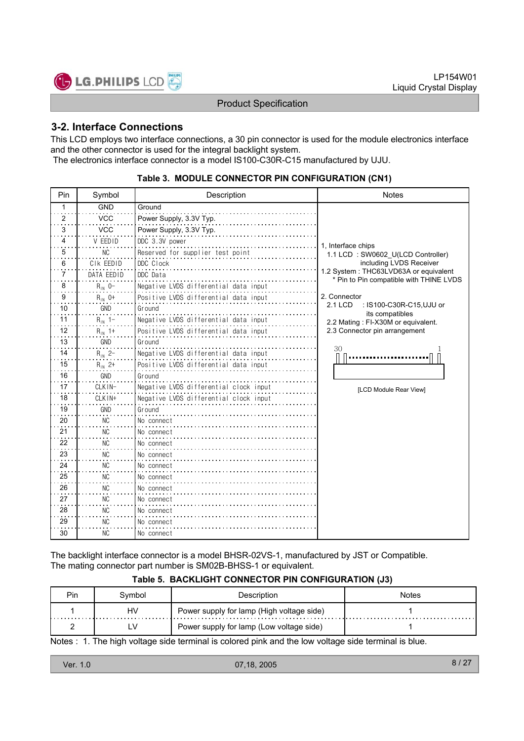

#### **3-2. Interface Connections**

This LCD employs two interface connections, a 30 pin connector is used for the module electronics interface and the other connector is used for the integral backlight system. The electronics interface connector is a model IS100-C30R-C15 manufactured by UJU.

| Pin          | Symbol      | Description                            | <b>Notes</b>                                                                     |
|--------------|-------------|----------------------------------------|----------------------------------------------------------------------------------|
| $\mathbf{1}$ | <b>GND</b>  | Ground                                 |                                                                                  |
| 2            | <b>VCC</b>  | Power Supply, 3.3V Typ.                |                                                                                  |
| 3            | <b>VCC</b>  | Power Supply, 3.3V Typ.                |                                                                                  |
| 4            | V FFDID     | DDC 3.3V power                         | 1, Interface chips                                                               |
| 5            | NC          | Reserved for supplier test point       | 1.1 LCD: SW0602 U(LCD Controller)                                                |
| 6            | CIK EEDID   | DDC Clock                              | including LVDS Receiver                                                          |
| 7            | DATA EEDID  | DDC Data                               | 1.2 System: THC63LVD63A or equivalent<br>* Pin to Pin compatible with THINE LVDS |
| 8            | $R_{1N}$ 0- | Negative LVDS differential data input  |                                                                                  |
| 9            | $R_{1N}$ 0+ | Positive LVDS differential data input  | 2. Connector                                                                     |
| 10           | GND         | Ground                                 | 2.1 LCD<br>: IS100-C30R-C15,UJU or<br>its compatibles                            |
| 11           | $R_{1N}$ 1- | Negative LVDS differential data input  | 2.2 Mating: FI-X30M or equivalent.                                               |
| 12           | $R_{1N}$ 1+ | Positive LVDS differential data input  | 2.3 Connector pin arrangement                                                    |
| 13           | <b>GND</b>  | Ground                                 |                                                                                  |
| 14           | $R_{1N}$ 2- | Negative LVDS differential data input  | 30                                                                               |
| 15           | $R_{1N}$ 2+ | Positive LVDS differential data input  |                                                                                  |
| 16           | GND         | Ground                                 |                                                                                  |
| 17           | CLKIN-      | Negative LVDS differential clock input | [LCD Module Rear View]                                                           |
| 18           | CLKIN+      | Negative LVDS differential clock input |                                                                                  |
| 19           | GND         | Ground                                 |                                                                                  |
| 20           | <b>NC</b>   | No connect                             |                                                                                  |
| 21           | <b>NC</b>   | No connect                             |                                                                                  |
| 22           | <b>NC</b>   | No connect                             |                                                                                  |
| 23           | <b>NC</b>   | No connect                             |                                                                                  |
| 24           | ΝC          | No connect                             |                                                                                  |
| 25           | <b>NC</b>   | No connect                             |                                                                                  |
| 26           | <b>NC</b>   | No connect                             |                                                                                  |
| 27           | <b>NC</b>   | No connect                             |                                                                                  |
| 28           | <b>NC</b>   | No connect                             |                                                                                  |
| 29           | NC.         | No connect                             |                                                                                  |
| 30           | <b>NC</b>   | No connect                             |                                                                                  |

#### **Table 3. MODULE CONNECTOR PIN CONFIGURATION (CN1)**

The backlight interface connector is a model BHSR-02VS-1, manufactured by JST or Compatible. The mating connector part number is SM02B-BHSS-1 or equivalent.

#### **Table 5. BACKLIGHT CONNECTOR PIN CONFIGURATION (J3)**

| Pin | Svmbol | Description                               | Notes |
|-----|--------|-------------------------------------------|-------|
|     | HV     | Power supply for lamp (High voltage side) |       |
|     |        | Power supply for lamp (Low voltage side)  |       |

Notes : 1. The high voltage side terminal is colored pink and the low voltage side terminal is blue.

| Ver. 1.0 | 07,18, 2005 | 8 |
|----------|-------------|---|
|          |             |   |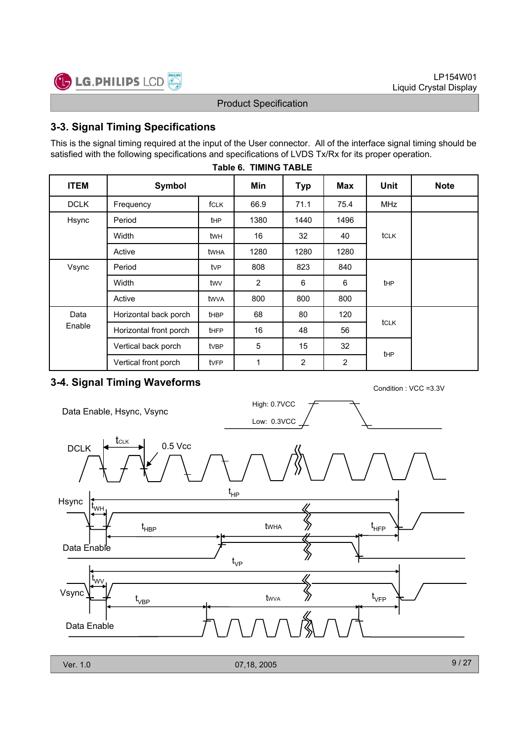

#### **3-3. Signal Timing Specifications**

This is the signal timing required at the input of the User connector. All of the interface signal timing should be satisfied with the following specifications and specifications of LVDS Tx/Rx for its proper operation.

| <b>ITEM</b> | Symbol                 |                  | Min            | <b>Typ</b>     | Max            | Unit            | <b>Note</b> |  |  |  |  |  |  |  |
|-------------|------------------------|------------------|----------------|----------------|----------------|-----------------|-------------|--|--|--|--|--|--|--|
| <b>DCLK</b> | Frequency              | fCLK             | 66.9           | 71.1           | 75.4           | <b>MHz</b>      |             |  |  |  |  |  |  |  |
| Hsync       | Period                 |                  | 1380           | 1440           | 1496           |                 |             |  |  |  |  |  |  |  |
|             | Width                  | twн              | 16             | 32             | 40             | tclk            |             |  |  |  |  |  |  |  |
|             | Active                 | twha             | 1280           | 1280           | 1280           |                 |             |  |  |  |  |  |  |  |
| Vsync       | Period                 | tvP              | 808            | 823            | 840            |                 |             |  |  |  |  |  |  |  |
|             | Width                  | twy              | $\overline{2}$ | 6              | 6              | tHP             |             |  |  |  |  |  |  |  |
|             | Active                 | twva             | 800            | 800            | 800            |                 |             |  |  |  |  |  |  |  |
| Data        | Horizontal back porch  | thBP             | 68             | 80             | 120            |                 |             |  |  |  |  |  |  |  |
| Enable      | Horizontal front porch | <b>tHFP</b>      | 16             | 48             | 56             | tclk            |             |  |  |  |  |  |  |  |
|             | Vertical back porch    | tv <sub>BP</sub> | 5              | 15             | 32             | t <sub>HP</sub> |             |  |  |  |  |  |  |  |
|             | Vertical front porch   | tvFP             | 1              | $\overline{c}$ | $\overline{c}$ |                 |             |  |  |  |  |  |  |  |

#### **Table 6. TIMING TABLE**

# **3-4. Signal Timing Waveforms Condition : VCC =3.3V** Condition : VCC =3.3V

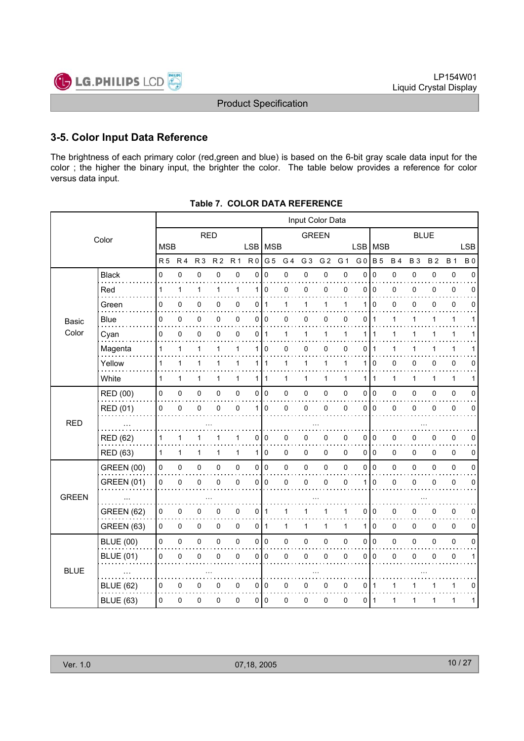

#### **3-5. Color Input Data Reference**

The brightness of each primary color (red,green and blue) is based on the 6-bit gray scale data input for the color ; the higher the binary input, the brighter the color. The table below provides a reference for color versus data input.

|              |                   |            |                |                |                |                |                | Input Color Data |                |                |                |                |                |                |              |             |              |              |             |
|--------------|-------------------|------------|----------------|----------------|----------------|----------------|----------------|------------------|----------------|----------------|----------------|----------------|----------------|----------------|--------------|-------------|--------------|--------------|-------------|
|              | Color             |            |                | <b>RED</b>     |                |                |                |                  |                | <b>GREEN</b>   |                |                |                |                |              | <b>BLUE</b> |              |              |             |
|              |                   | <b>MSB</b> |                |                |                |                | LSB MSB        |                  |                |                |                |                | <b>LSB</b>     | MSB            |              |             |              |              | <b>LSB</b>  |
|              |                   | R 5        | R <sub>4</sub> | R <sub>3</sub> | R <sub>2</sub> | R <sub>1</sub> | R <sub>0</sub> | G <sub>5</sub>   | G <sub>4</sub> | G <sub>3</sub> | G <sub>2</sub> | G <sub>1</sub> | G <sub>0</sub> | <b>B</b> 5     | <b>B4</b>    | <b>B3</b>   | <b>B2</b>    | <b>B</b> 1   | <b>B0</b>   |
|              | <b>Black</b><br>. | 0          | $\mathbf 0$    | 0              | $\mathbf 0$    | 0              | $\Omega$       | $\Omega$         | 0              | 0              | 0              | 0              | $\mathbf{0}$   | $\mathbf 0$    | 0            | 0           | 0            | $\pmb{0}$    | $\Omega$    |
|              | Red               | 1          | 1              | 1              | 1              | $\mathbf{1}$   |                | 110              | $\Omega$       | 0              | 0              | $\Omega$       | $\Omega$       | $\Omega$       | 0            | 0           | $\Omega$     | $\pmb{0}$    | $\Omega$    |
|              | Green             | 0          | 0              | 0              | 0              | 0              | 0              | 1                | 1              | 1              | 1              | 1              | 1              | $\mathbf 0$    | 0            | 0           | 0            | 0            | 0           |
| Basic        | Blue              | 0          | 0              | 0              | 0              | 0              | 0              | 0                | 0              | 0              | 0              | 0              | 0              | $\mathbf{1}$   | 1            | 1           | 1            | $\mathbf{1}$ | 1           |
| Color        | Cyan              | 0          | 0              | 0              | 0              | $\mathbf 0$    | 0              | $\mathbf{1}$     | 1              | $\mathbf{1}$   | $\mathbf{1}$   | 1              | 1              | -1             | 1            | 1           | 1            | $\mathbf{1}$ |             |
|              | Magenta           | 1          | 1              | 1              | 1              | 1              | 1              | $\Omega$         | 0              | 0              | 0              | $\Omega$       | 0              | 1              |              | 1           | 1            | 1            |             |
|              | Yellow            | 1          | $\mathbf{1}$   | 1              | 1              | $\mathbf{1}$   |                | 1   1            | $\mathbf{1}$   | 1              | $\mathbf{1}$   | $\mathbf 1$    | $\mathbf{1}$   | 0              | 0            | 0           | 0            | 0            | 0           |
|              | White             | 1          | $\mathbf 1$    | 1              | 1              | $\mathbf{1}$   | 1 <sup>1</sup> | $\mathbf{1}$     | 1              | $\mathbf{1}$   | 1              | $\mathbf{1}$   | $\mathbf{1}$   | l 1            | $\mathbf{1}$ | 1           | $\mathbf{1}$ | $\mathbf{1}$ | 1           |
|              | <b>RED (00)</b>   | 0          | 0              | 0              | 0              | $\pmb{0}$      |                | 0 0              | 0              | $\pmb{0}$      | 0              | 0              | 0              | $\overline{0}$ | 0            | 0           | 0            | $\pmb{0}$    | 0           |
|              | RED (01)          | 0          | 0              | 0              | 0              | 0              | 1 <sup>1</sup> | $\mathbf 0$      | 0              | $\pmb{0}$      | 0              | 0              | $\Omega$       | $\overline{0}$ | $\pmb{0}$    | 0           | 0            | $\pmb{0}$    | $\mathbf 0$ |
| <b>RED</b>   |                   |            |                |                |                |                |                |                  |                |                |                |                |                |                |              |             |              |              |             |
|              | <b>RED (62)</b>   | 1          | 1              | 1              |                | 1              | 0              | 0                | 0              | 0              | 0              | 0              | $\Omega$       | $\overline{0}$ | 0            | 0           | 0            | $\pmb{0}$    | $\Omega$    |
|              | RED (63)          | 1          | $\mathbf 1$    | 1              | 1              | $\mathbf{1}$   | 1 <sup>1</sup> | $\overline{0}$   | 0              | 0              | 0              | 0              | 0              | l o            | 0            | 0           | 0            | $\pmb{0}$    | 0           |
|              | <b>GREEN (00)</b> | 0          | 0              | $\pmb{0}$      | 0              | $\pmb{0}$      | $\overline{0}$ | I٥               | 0              | 0              | 0              | 0              | 0              | $\overline{0}$ | 0            | 0           | 0            | $\pmb{0}$    | $\mathbf 0$ |
|              | <b>GREEN (01)</b> | 0          | 0              | 0              | $\Omega$       | 0              | 0              | $\mathbf 0$      | 0              | $\pmb{0}$      | 0              | 0              | 1              | $\mathbf 0$    | 0            | 0           | 0            | $\pmb{0}$    | $\mathbf 0$ |
| <b>GREEN</b> |                   |            |                |                |                |                |                |                  |                |                |                |                |                |                |              |             |              |              |             |
|              | GREEN (62)        | 0          | 0              | $\mathbf 0$    | 0              | 0              | 0              | $\mathbf{1}$     | 1              | 1              | $\mathbf{1}$   | 1              | 0              | $\overline{0}$ | $\pmb{0}$    | 0           | 0            | $\pmb{0}$    | 0           |
|              | <b>GREEN (63)</b> | $\Omega$   | 0              | 0              | 0              | $\mathbf 0$    | $\overline{0}$ | $\mathbf{1}$     | $\mathbf{1}$   | $\mathbf{1}$   | $\mathbf{1}$   | $\mathbf{1}$   | 1              | $\Omega$       | 0            | $\Omega$    | 0            | 0            | 0           |
|              | <b>BLUE (00)</b>  | 0          | 0              | $\pmb{0}$      | 0              | $\mathsf 0$    |                | 0 0              | 0              | 0              | 0              | 0              | 0              | $\overline{0}$ | 0            | 0           | 0            | $\pmb{0}$    | $\mathbf 0$ |
|              | <b>BLUE (01)</b>  | 0          | 0              | 0              | 0              | $\pmb{0}$      | 0              | 0                | 0              | 0              | 0              | 0              | 0              | $\mathbf 0$    | 0            | 0           | 0            | $\pmb{0}$    | 1           |
| <b>BLUE</b>  |                   |            |                |                |                |                |                |                  |                |                |                |                |                |                |              |             |              |              |             |
|              | <b>BLUE (62)</b>  | 0          | 0              | 0              | 0              | 0              |                | 0 0              | 0              | 0              | 0              | 0              | 0              | 1              | 1            | 1           |              | $\mathbf{1}$ | 0           |
|              | <b>BLUE (63)</b>  | 0          | 0              | 0              | 0              | 0              | 0              | $\mathbf 0$      | 0              | 0              | 0              | 0              | 0              | $\vert$ 1      | 1            | 1           | 1            | 1            | 1           |
|              |                   |            |                |                |                |                |                |                  |                |                |                |                |                |                |              |             |              |              |             |

#### **Table 7. COLOR DATA REFERENCE**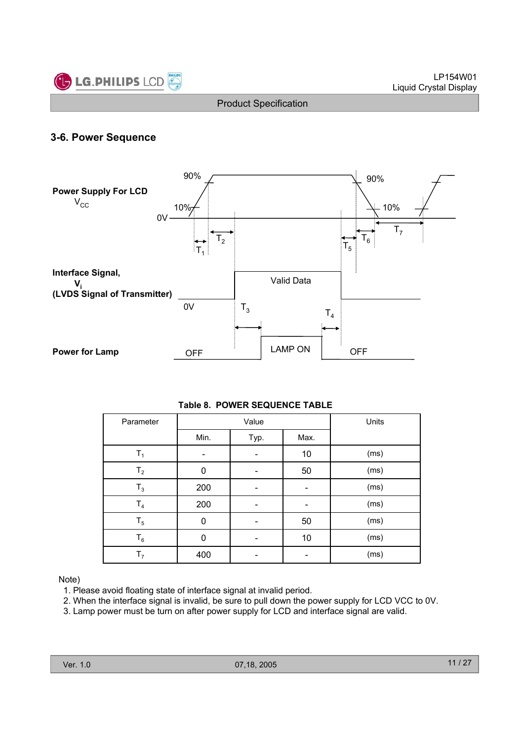

#### **3-6. Power Sequence**



#### **Table 8. POWER SEQUENCE TABLE**

| Parameter      |      | Value |      | Units |
|----------------|------|-------|------|-------|
|                | Min. | Typ.  | Max. |       |
| $T_1$          |      |       | 10   | (ms)  |
| T <sub>2</sub> | 0    |       | 50   | (ms)  |
| $T_3$          | 200  |       |      | (ms)  |
| T <sub>4</sub> | 200  |       |      | (ms)  |
| $T_5$          | 0    |       | 50   | (ms)  |
| $T_6$          | 0    |       | 10   | (ms)  |
| T <sub>7</sub> | 400  |       |      | (ms)  |

#### Note)

- 1. Please avoid floating state of interface signal at invalid period.
- 2. When the interface signal is invalid, be sure to pull down the power supply for LCD VCC to 0V.
- 3. Lamp power must be turn on after power supply for LCD and interface signal are valid.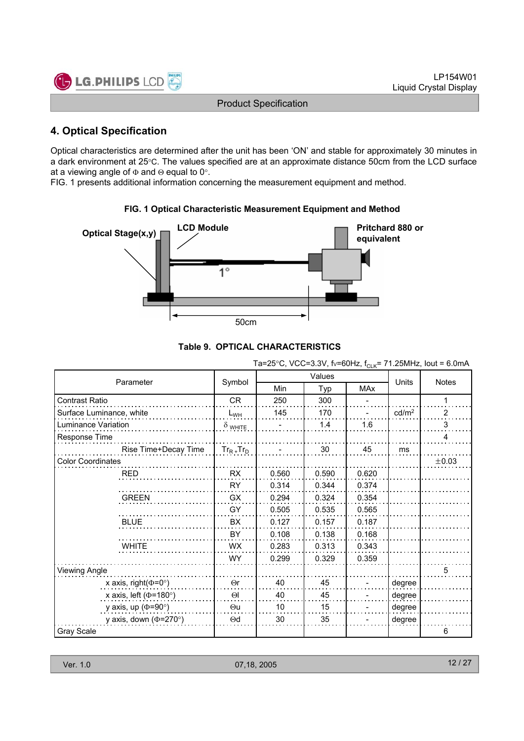

#### **4. Optical Specification**

Optical characteristics are determined after the unit has been 'ON' and stable for approximately 30 minutes in a dark environment at 25°C. The values specified are at an approximate distance 50cm from the LCD surface at a viewing angle of  $\Phi$  and  $\Theta$  equal to 0°.

FIG. 1 presents additional information concerning the measurement equipment and method.



# **FIG. 1 Optical Characteristic Measurement Equipment and Method**

|  |  | Table 9.  OPTICAL CHARACTERISTICS |
|--|--|-----------------------------------|
|--|--|-----------------------------------|

|                                  |                 | $1a-23$ C, $v$ CC-3.3V, $v$ -001 IZ, $I_{CLK}$ -7 T.20IVII IZ, IOUL - 0.011IA |        |            |                   |                |  |  |  |
|----------------------------------|-----------------|-------------------------------------------------------------------------------|--------|------------|-------------------|----------------|--|--|--|
|                                  |                 |                                                                               | Values |            |                   |                |  |  |  |
| Parameter                        | Symbol          | Min                                                                           | Typ    | <b>MAx</b> | Units             | Notes          |  |  |  |
| Contrast Ratio                   | CR              | 250                                                                           | 300    |            |                   | 1              |  |  |  |
| Surface Luminance, white         | $L_{WH}$        | 145                                                                           | 170    |            | cd/m <sup>2</sup> | $\overline{2}$ |  |  |  |
| Luminance Variation              | $\delta$ white  |                                                                               | 1.4    | 1.6        |                   | 3              |  |  |  |
| Response Time                    |                 |                                                                               |        |            |                   | 4              |  |  |  |
| Rise Time+Decay Time             | $Tr_{R+}Tr_{D}$ |                                                                               | 30     | 45         | ms                |                |  |  |  |
| <b>Color Coordinates</b>         |                 |                                                                               |        |            |                   | ±0.03          |  |  |  |
| <b>RED</b>                       | <b>RX</b>       | 0.560                                                                         | 0.590  | 0.620      |                   |                |  |  |  |
|                                  | <b>RY</b>       | 0.314                                                                         | 0.344  | 0.374      |                   |                |  |  |  |
| <b>GREEN</b>                     | GX              | 0.294                                                                         | 0.324  | 0.354      |                   |                |  |  |  |
|                                  | GY              | 0.505                                                                         | 0.535  | 0.565      |                   |                |  |  |  |
| <b>BLUE</b>                      | <b>BX</b>       | 0.127                                                                         | 0.157  | 0.187      |                   |                |  |  |  |
|                                  | BY              | 0.108                                                                         | 0.138  | 0.168      |                   |                |  |  |  |
| <b>WHITE</b>                     | <b>WX</b>       | 0.283                                                                         | 0.313  | 0.343      |                   |                |  |  |  |
|                                  | <b>WY</b>       | 0.299                                                                         | 0.329  | 0.359      |                   |                |  |  |  |
| <b>Viewing Angle</b>             |                 |                                                                               |        |            |                   | 5              |  |  |  |
| x axis, right( $\Phi$ =0°)       | $\Theta$ r      | 40                                                                            | 45     |            | degree            |                |  |  |  |
| x axis, left ( $\Phi$ =180°)     | $\Theta$        | 40                                                                            | 45     |            | degree            |                |  |  |  |
| y axis, up $(\Phi = 90^{\circ})$ | $\Theta$ u      | 10                                                                            | 15     |            | degree            |                |  |  |  |
| y axis, down ( $\Phi$ =270°)     | $\Theta$ d      | 30                                                                            | 35     |            | degree            |                |  |  |  |
| <b>Gray Scale</b>                |                 |                                                                               |        |            |                   | 6              |  |  |  |

 $Ta=25\degree$ C, VCC=3.3V, f $v=60H\frac{1}{2}$ , f = 71.25MHz, Iout = 6.0mA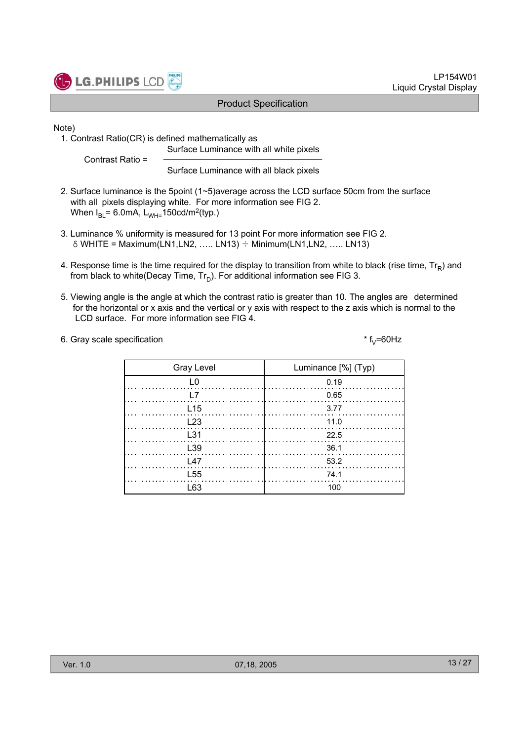

Note)

1. Contrast Ratio(CR) is defined mathematically as Surface Luminance with all white pixels

Contrast Ratio =

Surface Luminance with all black pixels

- 2. Surface luminance is the 5point (1~5)average across the LCD surface 50cm from the surface with all pixels displaying white. For more information see FIG 2. When  $I_{BL}$ = 6.0mA,  $L_{WH=}$ 150cd/m<sup>2</sup>(typ.)
- 3. Luminance % uniformity is measured for 13 point For more information see FIG 2.  $\delta$  WHITE = Maximum(LN1,LN2, ….. LN13)  $\div$  Minimum(LN1,LN2, ….. LN13)
- 4. Response time is the time required for the display to transition from white to black (rise time,  $Tr_{p}$ ) and from black to white(Decay Time,  $Tr_D$ ). For additional information see FIG 3.
- 5. Viewing angle is the angle at which the contrast ratio is greater than 10. The angles are determined for the horizontal or x axis and the vertical or y axis with respect to the z axis which is normal to the LCD surface. For more information see FIG 4.
- 6. Gray scale specification  $* f_v = 60Hz$

L63 100 L55 74.1 L23 and the contract of  $\sim$  11.0 L31 22.5  $L39$  36.1 L47 53.2 L15 3.77 L7 0.65 L0 0.19 Gray Level  $\vert$  Luminance [%] (Typ)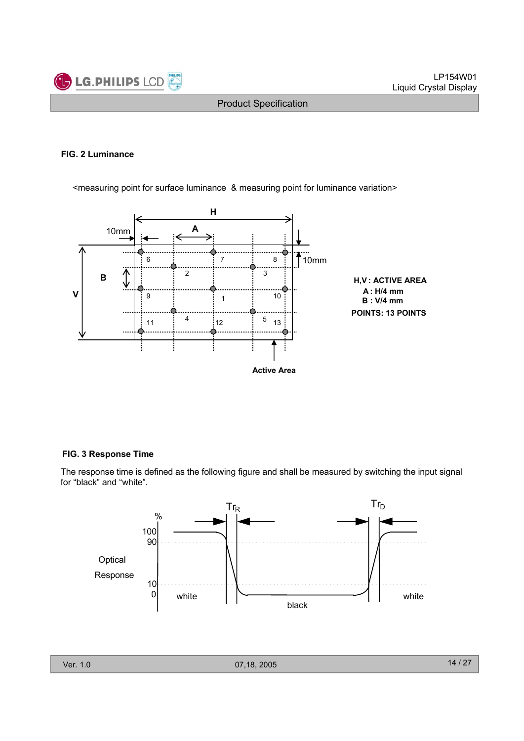

#### **FIG. 2 Luminance**

<measuring point for surface luminance & measuring point for luminance variation>



#### **FIG. 3 Response Time**

The response time is defined as the following figure and shall be measured by switching the input signal for "black" and "white".

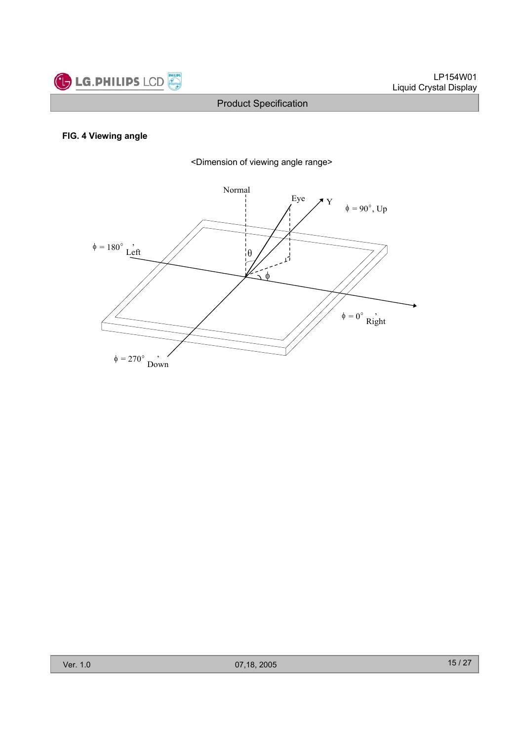

#### **FIG. 4 Viewing angle**



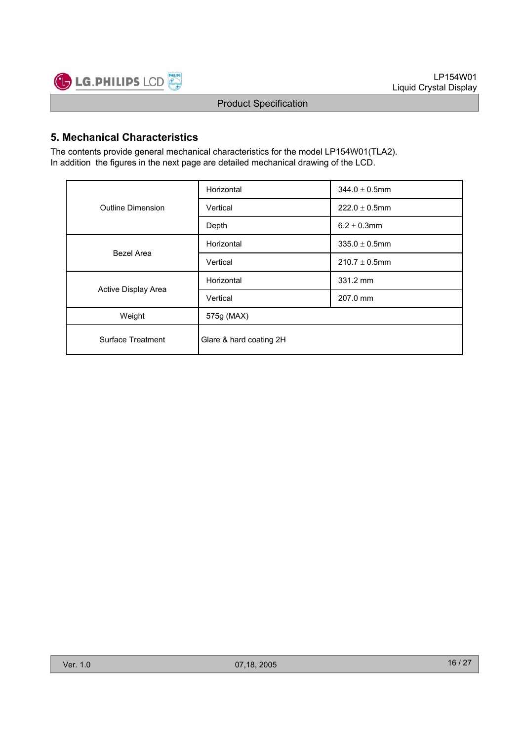

#### **5. Mechanical Characteristics**

The contents provide general mechanical characteristics for the model LP154W01(TLA2). In addition the figures in the next page are detailed mechanical drawing of the LCD.

|                          | Horizontal              | $344.0 \pm 0.5$ mm |  |  |  |  |  |
|--------------------------|-------------------------|--------------------|--|--|--|--|--|
| <b>Outline Dimension</b> | Vertical                | $222.0 \pm 0.5$ mm |  |  |  |  |  |
|                          | Depth                   | $6.2 \pm 0.3$ mm   |  |  |  |  |  |
| <b>Bezel Area</b>        | Horizontal              | $335.0 \pm 0.5$ mm |  |  |  |  |  |
|                          | Vertical                | $210.7 \pm 0.5$ mm |  |  |  |  |  |
|                          | Horizontal              | 331.2 mm           |  |  |  |  |  |
| Active Display Area      | Vertical                | 207.0 mm           |  |  |  |  |  |
| Weight                   | 575g (MAX)              |                    |  |  |  |  |  |
| Surface Treatment        | Glare & hard coating 2H |                    |  |  |  |  |  |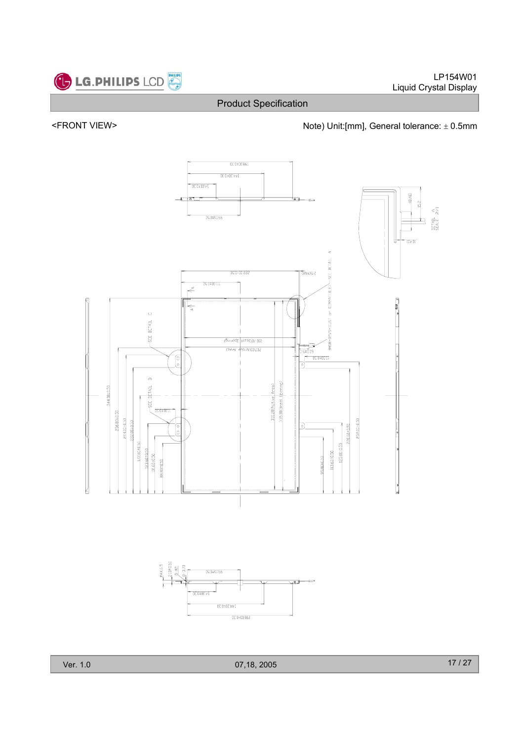

#### <FRONT VIEW>  $\blacksquare$  Note) Unit:[mm], General tolerance:  $\pm$  0.5mm

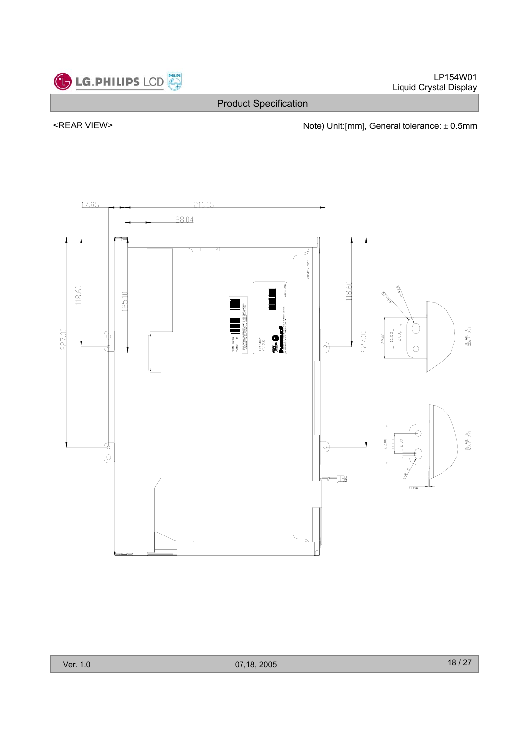

LP154W01 Liquid Crystal Display

Product Specification

<REAR VIEW> <next and the Unit:[mm], General tolerance:  $\pm$  0.5mm

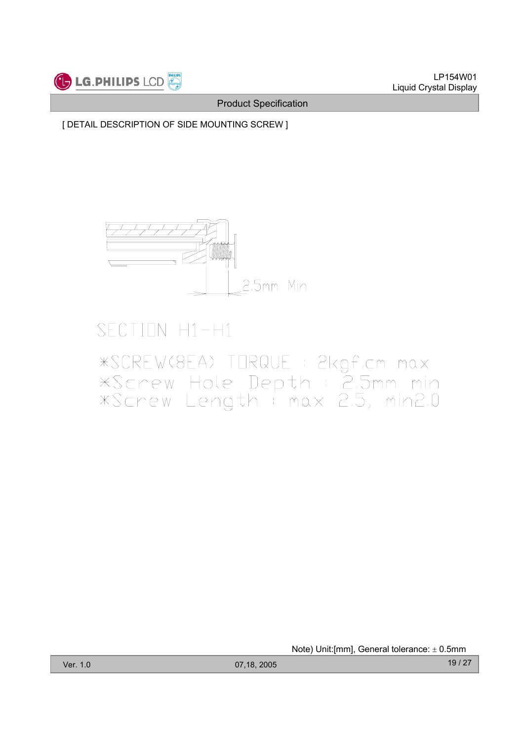

[ DETAIL DESCRIPTION OF SIDE MOUNTING SCREW ]



# SECTION H1-H1

# \*SCREW(8EA) TORQUE : 2kgf.cm max<br>\*Screw Hole Depth : 2.5mm min<br>\*Screw Length : max 2.5, min2.0

Note) Unit: [mm], General tolerance:  $\pm$  0.5mm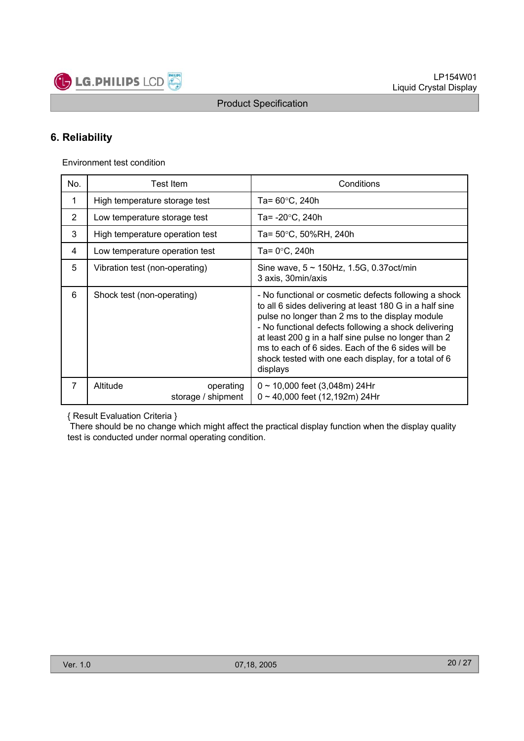

#### **6. Reliability**

Environment test condition

| No.            | Test Item                                   | Conditions                                                                                                                                                                                                                                                                                                                                                                                                    |  |  |  |  |  |  |  |
|----------------|---------------------------------------------|---------------------------------------------------------------------------------------------------------------------------------------------------------------------------------------------------------------------------------------------------------------------------------------------------------------------------------------------------------------------------------------------------------------|--|--|--|--|--|--|--|
| 1              | High temperature storage test               | Ta= $60^{\circ}$ C, 240h                                                                                                                                                                                                                                                                                                                                                                                      |  |  |  |  |  |  |  |
| $\overline{2}$ | Low temperature storage test                | Ta= -20°C, 240h                                                                                                                                                                                                                                                                                                                                                                                               |  |  |  |  |  |  |  |
| 3              | High temperature operation test             | Ta= 50°C, 50%RH, 240h                                                                                                                                                                                                                                                                                                                                                                                         |  |  |  |  |  |  |  |
| 4              | Low temperature operation test              | Ta= 0°C, 240h                                                                                                                                                                                                                                                                                                                                                                                                 |  |  |  |  |  |  |  |
| 5              | Vibration test (non-operating)              | Sine wave, $5 \sim 150$ Hz, 1.5G, 0.37oct/min<br>3 axis, 30min/axis                                                                                                                                                                                                                                                                                                                                           |  |  |  |  |  |  |  |
| 6              | Shock test (non-operating)                  | - No functional or cosmetic defects following a shock<br>to all 6 sides delivering at least 180 G in a half sine<br>pulse no longer than 2 ms to the display module<br>- No functional defects following a shock delivering<br>at least 200 g in a half sine pulse no longer than 2<br>ms to each of 6 sides. Each of the 6 sides will be<br>shock tested with one each display, for a total of 6<br>displays |  |  |  |  |  |  |  |
| $\overline{7}$ | Altitude<br>operating<br>storage / shipment | $0 \sim 10,000$ feet (3,048m) 24Hr<br>$0 \sim 40,000$ feet (12,192m) 24Hr                                                                                                                                                                                                                                                                                                                                     |  |  |  |  |  |  |  |

{ Result Evaluation Criteria }

There should be no change which might affect the practical display function when the display quality test is conducted under normal operating condition.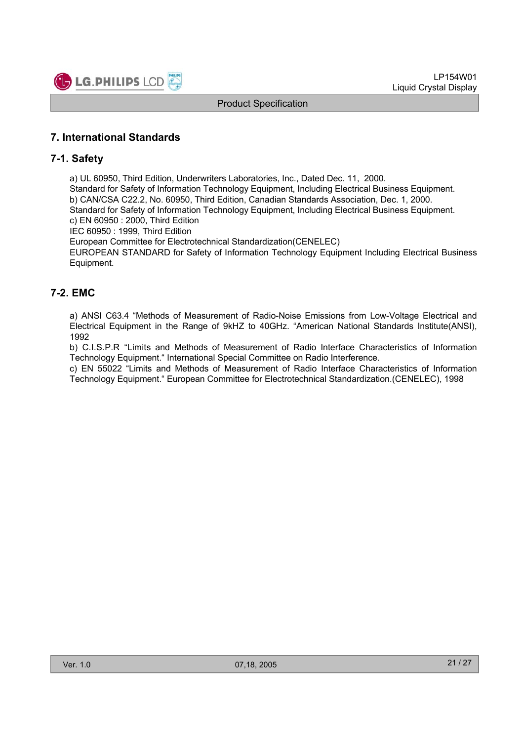

#### **7. International Standards**

#### **7-1. Safety**

a) UL 60950, Third Edition, Underwriters Laboratories, Inc., Dated Dec. 11, 2000.

Standard for Safety of Information Technology Equipment, Including Electrical Business Equipment. b) CAN/CSA C22.2, No. 60950, Third Edition, Canadian Standards Association, Dec. 1, 2000. Standard for Safety of Information Technology Equipment, Including Electrical Business Equipment.

c) EN 60950 : 2000, Third Edition

IEC 60950 : 1999, Third Edition

European Committee for Electrotechnical Standardization(CENELEC)

EUROPEAN STANDARD for Safety of Information Technology Equipment Including Electrical Business Equipment.

#### **7-2. EMC**

a) ANSI C63.4 "Methods of Measurement of Radio-Noise Emissions from Low-Voltage Electrical and Electrical Equipment in the Range of 9kHZ to 40GHz. "American National Standards Institute(ANSI), 1992

b) C.I.S.P.R "Limits and Methods of Measurement of Radio Interface Characteristics of Information Technology Equipment." International Special Committee on Radio Interference.

c) EN 55022 "Limits and Methods of Measurement of Radio Interface Characteristics of Information Technology Equipment." European Committee for Electrotechnical Standardization.(CENELEC), 1998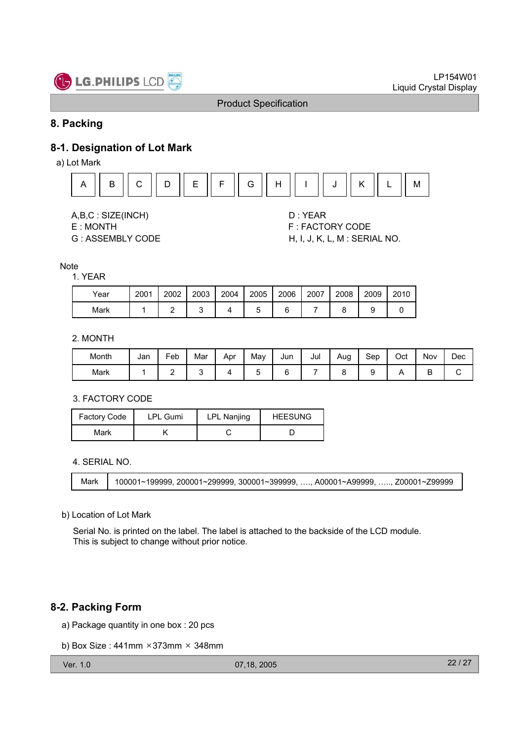

#### **8. Packing**

#### **8-1. Designation of Lot Mark**

a) Lot Mark





- 
- 

E : MONTH F : FACTORY CODE G : ASSEMBLY CODE H, I, J, K, L, M : SERIAL NO.

#### **Note**

#### 1. YEAR

| Year | 2001 | 2002 | 2003 | 2004 | 2005 | 2006 | 2007 | 2008 | 2009 | 2010 |
|------|------|------|------|------|------|------|------|------|------|------|
| Mark |      |      |      |      |      |      |      |      |      |      |

#### 2. MONTH

| Month | Jan | Feb | Mar | Apr | May | Jun | Jul | Aug | Sep | Oct | Nov | Dec |
|-------|-----|-----|-----|-----|-----|-----|-----|-----|-----|-----|-----|-----|
| Mark  |     | -   |     |     |     |     |     |     |     |     | ◡   |     |

#### 3. FACTORY CODE

| <b>Factory Code</b> | <b>LPL Gumi</b> |  | <b>HEESUNG</b> |  |  |
|---------------------|-----------------|--|----------------|--|--|
| Mark                |                 |  |                |  |  |

4. SERIAL NO.

Mark 100001~199999, 200001~299999, 300001~399999, …., A00001~A99999, ….., Z00001~Z99999

b) Location of Lot Mark

Serial No. is printed on the label. The label is attached to the backside of the LCD module. This is subject to change without prior notice.

#### **8-2. Packing Form**

a) Package quantity in one box : 20 pcs

```
b) Box Size: 441mm × 373mm × 348mm
```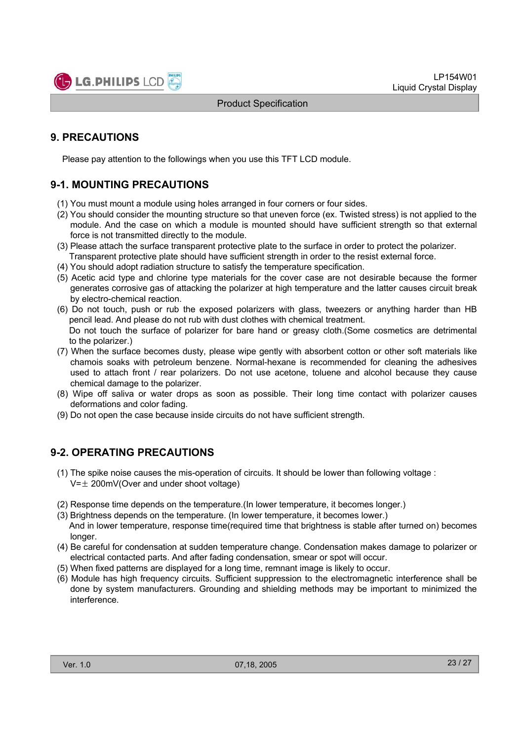

#### **9. PRECAUTIONS**

Please pay attention to the followings when you use this TFT LCD module.

#### **9-1. MOUNTING PRECAUTIONS**

- (1) You must mount a module using holes arranged in four corners or four sides.
- (2) You should consider the mounting structure so that uneven force (ex. Twisted stress) is not applied to the module. And the case on which a module is mounted should have sufficient strength so that external force is not transmitted directly to the module.
- (3) Please attach the surface transparent protective plate to the surface in order to protect the polarizer. Transparent protective plate should have sufficient strength in order to the resist external force.
- (4) You should adopt radiation structure to satisfy the temperature specification.
- (5) Acetic acid type and chlorine type materials for the cover case are not desirable because the former generates corrosive gas of attacking the polarizer at high temperature and the latter causes circuit break by electro-chemical reaction.
- (6) Do not touch, push or rub the exposed polarizers with glass, tweezers or anything harder than HB pencil lead. And please do not rub with dust clothes with chemical treatment. Do not touch the surface of polarizer for bare hand or greasy cloth.(Some cosmetics are detrimental
- to the polarizer.) (7) When the surface becomes dusty, please wipe gently with absorbent cotton or other soft materials like chamois soaks with petroleum benzene. Normal-hexane is recommended for cleaning the adhesives used to attach front / rear polarizers. Do not use acetone, toluene and alcohol because they cause chemical damage to the polarizer.
- (8) Wipe off saliva or water drops as soon as possible. Their long time contact with polarizer causes deformations and color fading.
- (9) Do not open the case because inside circuits do not have sufficient strength.

#### **9-2. OPERATING PRECAUTIONS**

- (1) The spike noise causes the mis-operation of circuits. It should be lower than following voltage :  $V=\pm 200$ mV(Over and under shoot voltage)
- (2) Response time depends on the temperature.(In lower temperature, it becomes longer.)
- (3) Brightness depends on the temperature. (In lower temperature, it becomes lower.) And in lower temperature, response time(required time that brightness is stable after turned on) becomes longer.
- (4) Be careful for condensation at sudden temperature change. Condensation makes damage to polarizer or electrical contacted parts. And after fading condensation, smear or spot will occur.
- (5) When fixed patterns are displayed for a long time, remnant image is likely to occur.
- (6) Module has high frequency circuits. Sufficient suppression to the electromagnetic interference shall be done by system manufacturers. Grounding and shielding methods may be important to minimized the interference.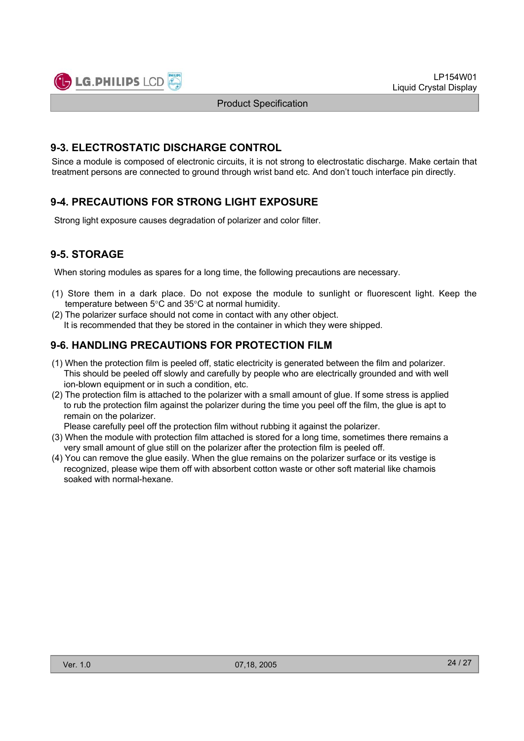

LP154W01 Liquid Crystal Display

Product Specification

#### **9-3. ELECTROSTATIC DISCHARGE CONTROL**

Since a module is composed of electronic circuits, it is not strong to electrostatic discharge. Make certain that treatment persons are connected to ground through wrist band etc. And don't touch interface pin directly.

#### **9-4. PRECAUTIONS FOR STRONG LIGHT EXPOSURE**

Strong light exposure causes degradation of polarizer and color filter.

#### **9-5. STORAGE**

When storing modules as spares for a long time, the following precautions are necessary.

- (1) Store them in a dark place. Do not expose the module to sunlight or fluorescent light. Keep the temperature between  $5^{\circ}$ C and  $35^{\circ}$ C at normal humidity.
- (2) The polarizer surface should not come in contact with any other object. It is recommended that they be stored in the container in which they were shipped.

#### **9-6. HANDLING PRECAUTIONS FOR PROTECTION FILM**

- (1) When the protection film is peeled off, static electricity is generated between the film and polarizer. This should be peeled off slowly and carefully by people who are electrically grounded and with well ion-blown equipment or in such a condition, etc.
- (2) The protection film is attached to the polarizer with a small amount of glue. If some stress is applied to rub the protection film against the polarizer during the time you peel off the film, the glue is apt to remain on the polarizer.

Please carefully peel off the protection film without rubbing it against the polarizer.

- (3) When the module with protection film attached is stored for a long time, sometimes there remains a very small amount of glue still on the polarizer after the protection film is peeled off.
- (4) You can remove the glue easily. When the glue remains on the polarizer surface or its vestige is recognized, please wipe them off with absorbent cotton waste or other soft material like chamois soaked with normal-hexane.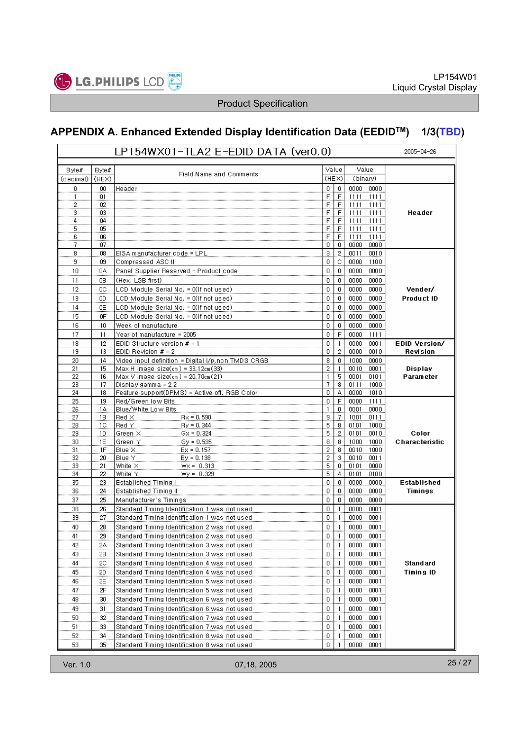

# **APPENDIX A. Enhanced Extended Display Identification Data (EEDIDTM) 1/3(TBD)**

|           |          | $2005 - 04 - 26$                                   |              |                     |                              |                   |
|-----------|----------|----------------------------------------------------|--------------|---------------------|------------------------------|-------------------|
| Byte#     | Byte#    |                                                    | Value        |                     | Value                        |                   |
| (decimal) | (HEX)    | Field Name and Comments                            |              | (HEX)               | (binary)                     |                   |
| 0         | 00       | Header                                             | $\mathbf{0}$ | 0                   | 0000 0000                    |                   |
| 1         | 01       |                                                    | F            | $\mathsf F$         | 1111<br>1111                 |                   |
| 2         | 02       |                                                    | F            | E                   | 1111<br>1111                 |                   |
| з         | 03       |                                                    | F            | $\mathsf F$         | 1111<br>1111                 | Header            |
| 4         | 04       |                                                    | F            | F                   | 1111<br>1111                 |                   |
| 5         | 05       |                                                    | F            | F                   | 1111<br>1111                 |                   |
| 6         | 06       |                                                    | F            | F                   | 1111<br>1111                 |                   |
| 7         | 07       |                                                    | 0            | 0                   | 0000<br>0000                 |                   |
| 8<br>9    | 08<br>09 | EISA manufacturer code = LPL<br>Compressed ASC II  | 3<br>0       | 2<br>C              | 0011<br>0010<br>0000<br>1100 |                   |
| 10        |          |                                                    | 0            | $\Omega$            | 0000                         |                   |
|           | 0A       | Panel Supplier Reserved - Product code             |              |                     | 0000                         |                   |
| 11        | 0B       | (Hex, LSB first)                                   | 0            | $\mathbf 0$         | 0000<br>0000                 |                   |
| 12        | 0C       | LCD Module Serial No. = 0(If not used)             | 0            | $\mathbf 0$         | 0000<br>0000                 | Vender/           |
| 13        | OD.      | LCD Module Serial No. = 0(If not used)             | 0            | 0                   | 0000<br>0000                 | <b>Product ID</b> |
| 14        | 0E       | LCD Module Serial No. = 0(If not used)             | 0            | $\Omega$            | 0000<br>0000                 |                   |
| 15        | 0F       | LCD Module Serial No. = 0(If not used)             | 0            | 0                   | 0000<br>0000                 |                   |
| 16        | 10       | Week of manufacture                                | 0            | 0                   | 0000<br>0000                 |                   |
| 17        | 11       | Year of manufacture = 2005                         | 0            | F                   | 0000<br>1111                 |                   |
| 18        | 12       | EDID Structure version $# = 1$                     | 0            | $\overline{1}$      | 0000<br>0001                 | EDID Version/     |
| 19        | 13       | EDID Revision $# = 2$                              | 0            | $\overline{2}$      | 0000<br>0010                 | Revision          |
| 20        | 14       | Video input definition = Digital I/p,non TMDS CRGB | 8            | $\overline{0}$      | 1000<br>0000                 |                   |
| 21        | 15       | $Max H$ image size(cm) = 33.12cm(33)               | 2            | $\mathbf{1}$        | 0010<br>0001                 | Display           |
| 22        | 16       | Max V image size(cm) = $20.70cm(21)$               | $\mathbf{1}$ | 5                   | 0001<br>0101                 | Parameter         |
| 23        | 17       | Display gamma = 2.2                                | 7            | 8                   | 0111<br>1000                 |                   |
| 24        | 18       | Feature support(DPMS) = Active off, RGB Color      | 0            | А                   | 0000<br>1010                 |                   |
| 25        | 19       | Red/Green low Bits                                 | 0            | F                   | 0000<br>1111                 |                   |
| 26<br>27  | 1A<br>1B | Blue/White Low Bits<br>Red X<br>$Rx = 0.590$       | 1<br>9       | 0<br>$\overline{I}$ | 0001<br>0000<br>1001<br>0111 |                   |
| 28        | 1C       | Red Y<br>$\text{By} = 0.344$                       | 5            | 8                   | 0101<br>1000                 |                   |
| 29        | 1D       | Green X<br>$Gx = 0.324$                            | 5            | $\overline{2}$      | 0101<br>0010                 | Color             |
| 30        | 1E       | Green Y<br>$Gy = 0.535$                            | 8            | 8                   | 1000<br>1000                 | Characteristic    |
| 31        | 1F       | Blue X<br>$Bx = 0.157$                             | 2            | 8                   | 0010<br>1000                 |                   |
| 32        | 20       | Blue Y<br>$By = 0.138$                             | 2            | з                   | 0010<br>0011                 |                   |
| 33        | 21       | White $\times$<br>$Wx = 0.313$                     | 5            | 0                   | 0101<br>0000                 |                   |
| 34        | 22       | White Y<br>$Wy = 0.329$                            | 5            | 4                   | 0101<br>0100                 |                   |
| 35        | 23       | Established Timing I                               | 0            | $\mathbf{0}$        | 0000<br>0000                 | Established       |
| 36        | 24       | Established Timing II                              | 0            | 0                   | 0000<br>0000                 | Timings           |
| 37        | 25       | Manufacturer's Timings                             | 0            | 0                   | 0000<br>0000                 |                   |
| 38        | 26       | Standard Timing Identification 1 was not used      | 0            | $\overline{1}$      | 0000<br>0001                 |                   |
| 39        | 27       | Standard Timing Identification 1 was not used      | 0            | $\overline{1}$      | 0000<br>0001                 |                   |
| 40        | 28       | Standard Timing Identification 2 was not used      | 0            | $\overline{1}$      | 0000<br>0001                 |                   |
| 41        | 29       | Standard Timing Identification 2 was not used      | 0            | $\mathbf{1}$        | 0000<br>0001                 |                   |
| 42        | 2A       | Standard Timing Identification 3 was not used      | 0            | $\overline{1}$      | 0000<br>0001                 |                   |
| 43        | 2В       | Standard Timing Identification 3 was not used      | 0            | $\mathbf{1}$        | 0000<br>0001                 |                   |
| 44        | 2C       | Standard Timing Identification 4 was not used      | 0            | $\overline{1}$      | 0000<br>0001                 | Standard          |
| 45        | 2D       | Standard Timing Identification 4 was not used      | 0            | $\overline{1}$      | 0000<br>0001                 | <b>Timing ID</b>  |
| 46        | 2E       | Standard Timing Identification 5 was not used      | 0            | $\overline{1}$      | 0000<br>0001                 |                   |
| 47        | 2F       | Standard Timing Identification 5 was not used      | 0            | $\overline{1}$      | 0000<br>0001                 |                   |
| 48        | 30       | Standard Timing Identification 6 was not used      | 0            | $\overline{1}$      | 0000<br>0001                 |                   |
| 49        | 31       | Standard Timing Identification 6 was not used      | 0            | $\overline{1}$      | 0000<br>0001                 |                   |
| 50        | 32       | Standard Timing Identification 7 was not used      | 0            | $\mathbf{1}$        | 0000<br>0001                 |                   |
|           |          |                                                    |              |                     |                              |                   |
| 51        | 33       | Standard Timing Identification 7 was not used      | 0            | $\overline{1}$      | 0000<br>0001                 |                   |
| 52        | 34       | Standard Timing Identification 8 was not used      | 0            | -1                  | 0000<br>0001                 |                   |
| 53        | 35       | Standard Timing Identification 8 was not used      | 0            | $\mathbf{1}$        | 0000<br>0001                 |                   |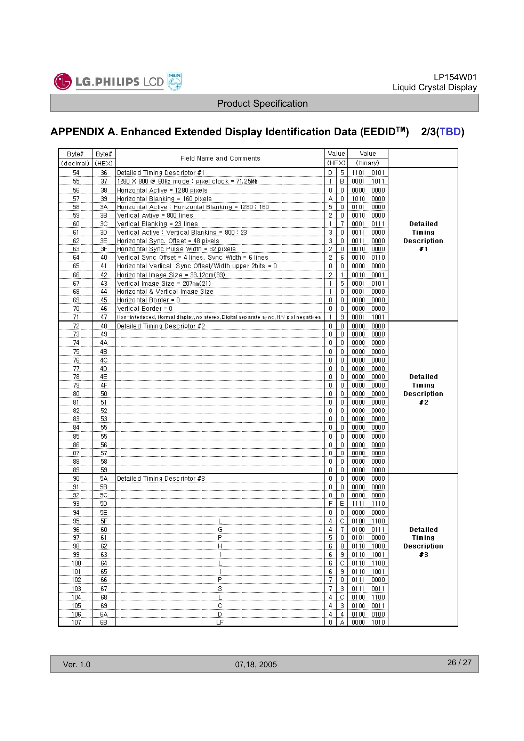

# **APPENDIX A. Enhanced Extended Display Identification Data (EEDIDTM) 2/3(TBD)**

| Byte#     | Byte# |                                                                                      |              | Value          | Value        |                    |
|-----------|-------|--------------------------------------------------------------------------------------|--------------|----------------|--------------|--------------------|
| (decimal) | (HEX) | Field Name and Comments                                                              |              | (HEX)          | (binary)     |                    |
|           |       |                                                                                      |              |                |              |                    |
| 54        | 36    | Detailed Timing Descriptor #1                                                        | D            | -5             | 1101<br>0101 |                    |
| 55        | 37    | 1280 X 800 @ 60Hz mode : pixel clock = 71.25Mz                                       | 1            | B              | 0001<br>1011 |                    |
| 56        | 38    | Horizontal Active = 1280 pixels                                                      | 0            | 0              | 0000<br>0000 |                    |
| 57        | 39    | Horizontal Blanking = 160 pixels                                                     | А            | $\theta$       | 1010<br>0000 |                    |
| 58        | ЗΑ    | Horizontal Active : Horizontal Blanking = 1280 : 160                                 | 5            | $\mathbf 0$    | 0101<br>0000 |                    |
| 59        | 3В    | Vertical Avtive = 800 lines                                                          | 2            | $\overline{0}$ | 0010<br>0000 |                    |
| 60        | ЗC    | Vertical Blanking = 23 lines                                                         | 1            | 7              | 0111<br>0001 | Detailed           |
| 61        | ЗD.   | Vertical Active: Vertical Blanking = 800: 23                                         | 3            | $\,0\,$        | 0011<br>0000 | Timing             |
| 62        | ЗE    | Horizontal Sync. Offset = 48 pixels                                                  | 3            | 0              | 0011<br>0000 | <b>Description</b> |
| 63        | ЗF    | Horizontal Sync Pulse Width = 32 pixels                                              | 2            | 0              | 0010<br>0000 | #1                 |
| 64        | 40    | Vertical Sync Offset = 4 lines, Sync Width = 6 lines                                 | 2            | $\,6\,$        | 0010<br>0110 |                    |
| 65        | 41    | Horizontal Vertical Sync Offset/Width upper 2bits = 0                                | 0            | $\mathbf{0}$   | 0000<br>0000 |                    |
| 66        | 42    | Horizontal Image Size = 33.12cm(33)                                                  | 2            | $\overline{1}$ | 0010<br>0001 |                    |
| 67        | 43.   | Vertical Image Size = 207mm(21)                                                      | 1            | $\overline{5}$ | 0101<br>0001 |                    |
| 68        | 44    |                                                                                      | 1            | $\overline{0}$ | 0001<br>0000 |                    |
|           |       | Horizontal & Vertical Image Size                                                     | 0            | $\mathbf 0$    |              |                    |
| 69        | 45    | Horizontal Border = 0                                                                |              |                | 0000<br>0000 |                    |
| 70        | 46    | Vertical Border = 0                                                                  | 0            | 0              | 0000<br>0000 |                    |
| 71        | 47    | Non-interlaced, Normal display, no stereo, Digital sep arate sync, H/V polinegatives | $\mathbf{1}$ | 9              | 0001<br>1001 |                    |
| 72        | 48    | Detailed Timing Descriptor #2                                                        | 0            | $\mathbf{0}$   | 0000<br>0000 |                    |
| 73        | 49    |                                                                                      | 0            | $\mathbf{0}$   | 0000<br>0000 |                    |
| 74        | 4Α    |                                                                                      | 0            | $\mathbf 0$    | 0000<br>0000 |                    |
| 75        | 4Β.   |                                                                                      | 0            | 0              | 0000<br>0000 |                    |
| 76        | 4C    |                                                                                      | 0            | $\overline{0}$ | 0000<br>0000 |                    |
| 77        | 4D.   |                                                                                      | 0            | $\overline{0}$ | 0000<br>0000 |                    |
| 78        | 4E    |                                                                                      | 0            | 0              | 0000<br>0000 | Detailed           |
| 79        | 4F    |                                                                                      | 0            | $\,0\,$        | 0000<br>0000 | Timing             |
| 80        | 50    |                                                                                      | 0            | $\overline{0}$ | 0000<br>0000 | <b>Description</b> |
| 81        | 51    |                                                                                      | 0            | $\overline{0}$ | 0000<br>0000 | #2                 |
| 82        | 52    |                                                                                      | 0            | $\overline{0}$ | 0000<br>0000 |                    |
| 83        | 53    |                                                                                      | 0            | 0              | 0000<br>0000 |                    |
| 84        |       |                                                                                      | 0            | $\mathbf{0}$   | 0000<br>0000 |                    |
|           | 55    |                                                                                      |              |                |              |                    |
| 85        | 55    |                                                                                      | 0            | 0              | 0000<br>0000 |                    |
| 86        | 56    |                                                                                      | 0            | $\overline{0}$ | 0000<br>0000 |                    |
| 87        | 57    |                                                                                      | 0            | $\mathbf 0$    | 0000<br>0000 |                    |
| 88        | 58    |                                                                                      | 0            | 0              | 0000<br>0000 |                    |
| 89        | 59    |                                                                                      | 0            | $\mathbf 0$    | 0000<br>0000 |                    |
| 90        | 5А    | Detailed Timing Descriptor #3                                                        | 0            | $\mathbf{0}$   | 0000<br>0000 |                    |
| 91        | 5B    |                                                                                      | 0            | $\mathbf{0}$   | 0000<br>0000 |                    |
| 92        | 5С    |                                                                                      | 0            | 0              | 0000<br>0000 |                    |
| 93        | 5D    |                                                                                      | F            | E              | 1111<br>1110 |                    |
| 94        | 5E    |                                                                                      | 0            | 0              | 0000<br>0000 |                    |
| 95        | 5F    |                                                                                      | 4            | $\overline{C}$ | 0100<br>1100 |                    |
| 96        | 60    | G                                                                                    | 4            | $\overline{7}$ | 0100 0111    | Detailed           |
| 97        | 61    | P                                                                                    | 5            | 0              | 0000<br>0101 | Timing             |
| 98        | 62    | Н                                                                                    | 6            | 8              | 0110<br>1000 | <b>Description</b> |
| 99        | 63    | ı                                                                                    | 6            | 9              | 0110<br>1001 | #3                 |
| 100       | 64    | L                                                                                    | 6            |                |              |                    |
|           |       |                                                                                      |              | $\circ$        | 0110<br>1100 |                    |
| 101       | 65    | I                                                                                    | 6            | 9              | 0110<br>1001 |                    |
| 102       | 66    | Ρ                                                                                    | 7            | 0              | 0111<br>0000 |                    |
| 103       | 67    | s                                                                                    | 7            | 3              | 0011<br>0111 |                    |
| 104       | 68    | Τ                                                                                    | 4            | С              | 0100<br>1100 |                    |
| 105       | 69    | С                                                                                    | 4            | 3              | 0100<br>0011 |                    |
| 106       | 6A    | D                                                                                    | 4            | 4              | 0100<br>0100 |                    |
| 107       | 6B.   | LF                                                                                   | n            |                | 0000<br>1010 |                    |